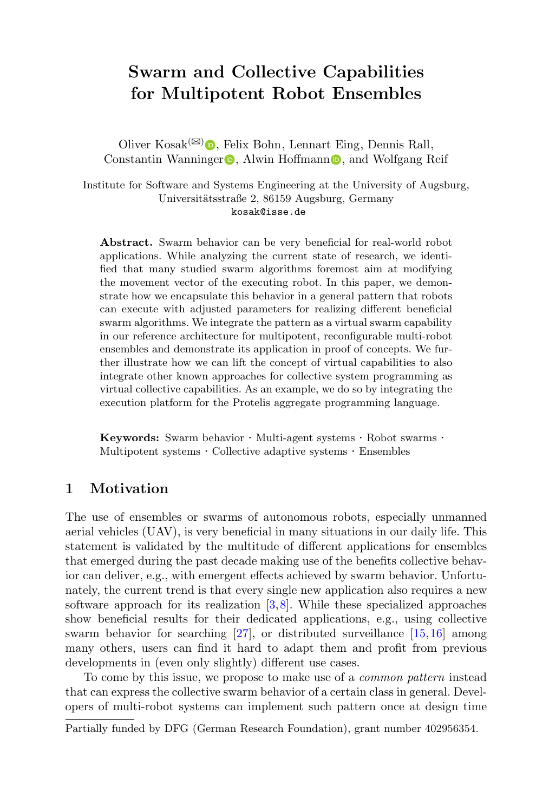# **Swarm and Collective Capabilities for Multipotent Robot Ensembles**

Oliver Kosak $^{(\boxtimes)}\textcircled{\tiny{\bullet}}$ [,](http://orcid.org/0000-0003-0563-9797) Felix Bohn, Lennart Eing, Dennis Rall, Co[n](http://orcid.org/0000-0002-5123-3918)stantin Wanninger  $\bullet$ [,](http://orcid.org/0000-0001-8982-4740) Alwin Hoffmann  $\bullet$ , and Wolfgang Reif

Institute for Software and Systems Engineering at the University of Augsburg, Universitätsstraße 2, 86159 Augsburg, Germany kosak@isse.de

**Abstract.** Swarm behavior can be very beneficial for real-world robot applications. While analyzing the current state of research, we identified that many studied swarm algorithms foremost aim at modifying the movement vector of the executing robot. In this paper, we demonstrate how we encapsulate this behavior in a general pattern that robots can execute with adjusted parameters for realizing different beneficial swarm algorithms. We integrate the pattern as a virtual swarm capability in our reference architecture for multipotent, reconfigurable multi-robot ensembles and demonstrate its application in proof of concepts. We further illustrate how we can lift the concept of virtual capabilities to also integrate other known approaches for collective system programming as virtual collective capabilities. As an example, we do so by integrating the execution platform for the Protelis aggregate programming language.

**Keywords:** Swarm behavior · Multi-agent systems · Robot swarms · Multipotent systems · Collective adaptive systems · Ensembles

# **1 Motivation**

The use of ensembles or swarms of autonomous robots, especially unmanned aerial vehicles (UAV), is very beneficial in many situations in our daily life. This statement is validated by the multitude of different applications for ensembles that emerged during the past decade making use of the benefits collective behavior can deliver, e.g., with emergent effects achieved by swarm behavior. Unfortunately, the current trend is that every single new application also requires a new software approach for its realization  $[3,8]$  $[3,8]$ . While these specialized approaches show beneficial results for their dedicated applications, e.g., using collective swarm behavior for searching [\[27\]](#page-15-0), or distributed surveillance [\[15](#page-14-2),[16\]](#page-14-3) among many others, users can find it hard to adapt them and profit from previous developments in (even only slightly) different use cases.

To come by this issue, we propose to make use of a *common pattern* instead that can express the collective swarm behavior of a certain class in general. Developers of multi-robot systems can implement such pattern once at design time

Partially funded by DFG (German Research Foundation), grant number 402956354.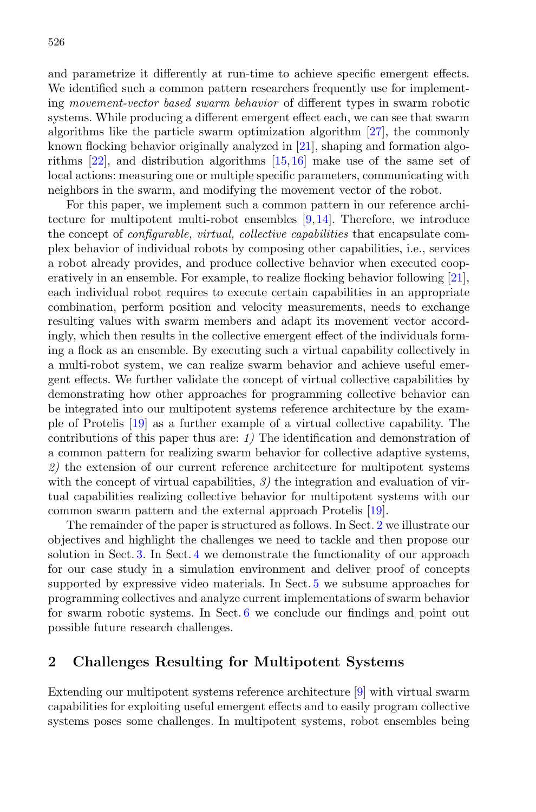and parametrize it differently at run-time to achieve specific emergent effects. We identified such a common pattern researchers frequently use for implementing *movement-vector based swarm behavior* of different types in swarm robotic systems. While producing a different emergent effect each, we can see that swarm algorithms like the particle swarm optimization algorithm [\[27](#page-15-0)], the commonly known flocking behavior originally analyzed in [\[21](#page-15-1)], shaping and formation algorithms [\[22](#page-15-2)], and distribution algorithms [\[15](#page-14-2)[,16](#page-14-3)] make use of the same set of local actions: measuring one or multiple specific parameters, communicating with neighbors in the swarm, and modifying the movement vector of the robot.

For this paper, we implement such a common pattern in our reference architecture for multipotent multi-robot ensembles [\[9,](#page-14-4)[14](#page-14-5)]. Therefore, we introduce the concept of *configurable, virtual, collective capabilities* that encapsulate complex behavior of individual robots by composing other capabilities, i.e., services a robot already provides, and produce collective behavior when executed cooperatively in an ensemble. For example, to realize flocking behavior following [\[21\]](#page-15-1), each individual robot requires to execute certain capabilities in an appropriate combination, perform position and velocity measurements, needs to exchange resulting values with swarm members and adapt its movement vector accordingly, which then results in the collective emergent effect of the individuals forming a flock as an ensemble. By executing such a virtual capability collectively in a multi-robot system, we can realize swarm behavior and achieve useful emergent effects. We further validate the concept of virtual collective capabilities by demonstrating how other approaches for programming collective behavior can be integrated into our multipotent systems reference architecture by the example of Protelis [\[19](#page-15-3)] as a further example of a virtual collective capability. The contributions of this paper thus are: *1)* The identification and demonstration of a common pattern for realizing swarm behavior for collective adaptive systems, *2)* the extension of our current reference architecture for multipotent systems with the concept of virtual capabilities, *3)* the integration and evaluation of virtual capabilities realizing collective behavior for multipotent systems with our common swarm pattern and the external approach Protelis [\[19](#page-15-3)].

The remainder of the paper is structured as follows. In Sect. [2](#page-1-0) we illustrate our objectives and highlight the challenges we need to tackle and then propose our solution in Sect. [3.](#page-3-0) In Sect. [4](#page-8-0) we demonstrate the functionality of our approach for our case study in a simulation environment and deliver proof of concepts supported by expressive video materials. In Sect. [5](#page-12-0) we subsume approaches for programming collectives and analyze current implementations of swarm behavior for swarm robotic systems. In Sect. [6](#page-13-0) we conclude our findings and point out possible future research challenges.

## <span id="page-1-0"></span>**2 Challenges Resulting for Multipotent Systems**

Extending our multipotent systems reference architecture [\[9\]](#page-14-4) with virtual swarm capabilities for exploiting useful emergent effects and to easily program collective systems poses some challenges. In multipotent systems, robot ensembles being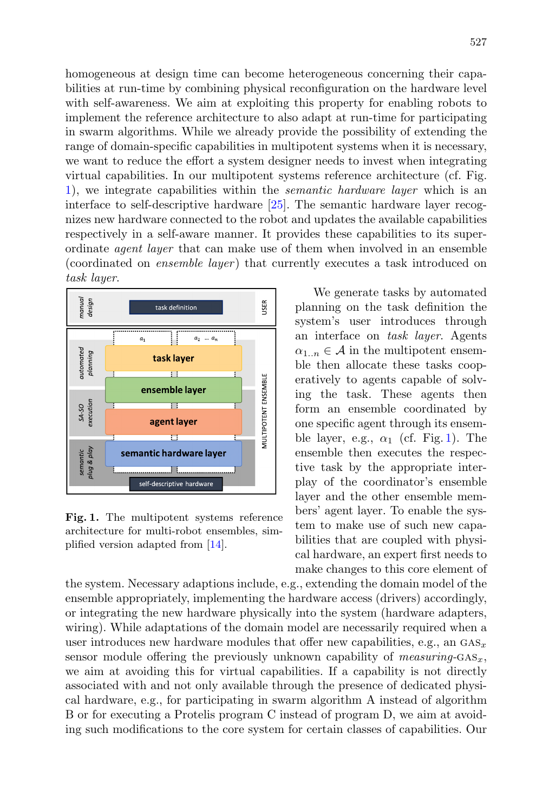homogeneous at design time can become heterogeneous concerning their capabilities at run-time by combining physical reconfiguration on the hardware level with self-awareness. We aim at exploiting this property for enabling robots to implement the reference architecture to also adapt at run-time for participating in swarm algorithms. While we already provide the possibility of extending the range of domain-specific capabilities in multipotent systems when it is necessary, we want to reduce the effort a system designer needs to invest when integrating virtual capabilities. In our multipotent systems reference architecture (cf. Fig. [1\)](#page-2-0), we integrate capabilities within the *semantic hardware layer* which is an interface to self-descriptive hardware [\[25](#page-15-4)]. The semantic hardware layer recognizes new hardware connected to the robot and updates the available capabilities respectively in a self-aware manner. It provides these capabilities to its superordinate *agent layer* that can make use of them when involved in an ensemble (coordinated on *ensemble layer* ) that currently executes a task introduced on *task layer*.



**Fig. 1.** The multipotent systems reference architecture for multi-robot ensembles, simplified version adapted from [\[14](#page-14-5)].

<span id="page-2-0"></span>We generate tasks by automated planning on the task definition the system's user introduces through an interface on *task layer*. Agents  $\alpha_{1..n} \in \mathcal{A}$  in the multipotent ensemble then allocate these tasks cooperatively to agents capable of solving the task. These agents then form an ensemble coordinated by one specific agent through its ensemble layer, e.g.,  $\alpha_1$  (cf. Fig. [1\)](#page-2-0). The ensemble then executes the respective task by the appropriate interplay of the coordinator's ensemble layer and the other ensemble members' agent layer. To enable the system to make use of such new capabilities that are coupled with physical hardware, an expert first needs to make changes to this core element of

the system. Necessary adaptions include, e.g., extending the domain model of the ensemble appropriately, implementing the hardware access (drivers) accordingly, or integrating the new hardware physically into the system (hardware adapters, wiring). While adaptations of the domain model are necessarily required when a user introduces new hardware modules that offer new capabilities, e.g., an  $GAS_x$ sensor module offering the previously unknown capability of  $measuring-GAS<sub>x</sub>$ , we aim at avoiding this for virtual capabilities. If a capability is not directly associated with and not only available through the presence of dedicated physical hardware, e.g., for participating in swarm algorithm A instead of algorithm B or for executing a Protelis program C instead of program D, we aim at avoiding such modifications to the core system for certain classes of capabilities. Our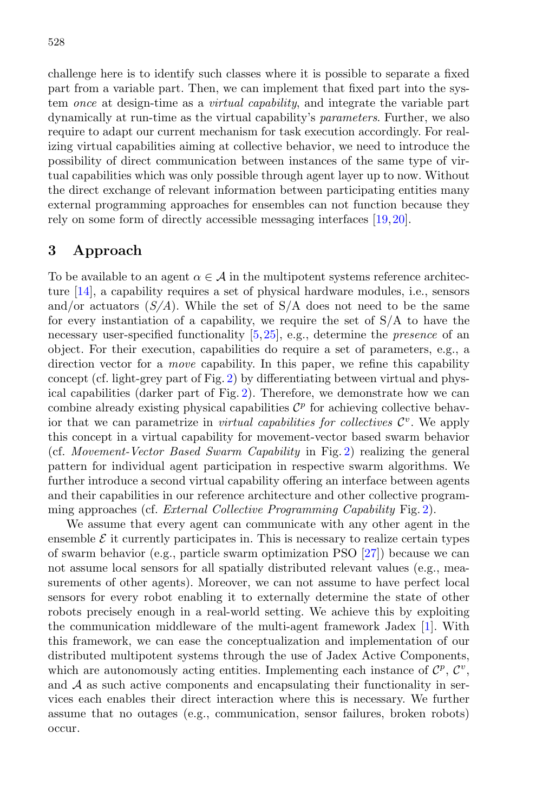challenge here is to identify such classes where it is possible to separate a fixed part from a variable part. Then, we can implement that fixed part into the system *once* at design-time as a *virtual capability*, and integrate the variable part dynamically at run-time as the virtual capability's *parameters*. Further, we also require to adapt our current mechanism for task execution accordingly. For realizing virtual capabilities aiming at collective behavior, we need to introduce the possibility of direct communication between instances of the same type of virtual capabilities which was only possible through agent layer up to now. Without the direct exchange of relevant information between participating entities many external programming approaches for ensembles can not function because they rely on some form of directly accessible messaging interfaces [\[19](#page-15-3)[,20\]](#page-15-5).

## <span id="page-3-0"></span>**3 Approach**

To be available to an agent  $\alpha \in \mathcal{A}$  in the multipotent systems reference architecture [\[14](#page-14-5)], a capability requires a set of physical hardware modules, i.e., sensors and/or actuators  $(S/A)$ . While the set of  $S/A$  does not need to be the same for every instantiation of a capability, we require the set of S/A to have the necessary user-specified functionality [\[5,](#page-14-6)[25](#page-15-4)], e.g., determine the *presence* of an object. For their execution, capabilities do require a set of parameters, e.g., a direction vector for a *move* capability. In this paper, we refine this capability concept (cf. light-grey part of Fig. [2\)](#page-4-0) by differentiating between virtual and physical capabilities (darker part of Fig. [2\)](#page-4-0). Therefore, we demonstrate how we can combine already existing physical capabilities  $\mathcal{C}^p$  for achieving collective behavior that we can parametrize in *virtual capabilities* for *collectives*  $\mathcal{C}^v$ . We apply this concept in a virtual capability for movement-vector based swarm behavior (cf. *Movement-Vector Based Swarm Capability* in Fig. [2\)](#page-4-0) realizing the general pattern for individual agent participation in respective swarm algorithms. We further introduce a second virtual capability offering an interface between agents and their capabilities in our reference architecture and other collective programming approaches (cf. *External Collective Programming Capability* Fig. [2\)](#page-4-0).

We assume that every agent can communicate with any other agent in the ensemble  $\mathcal E$  it currently participates in. This is necessary to realize certain types of swarm behavior (e.g., particle swarm optimization PSO [\[27\]](#page-15-0)) because we can not assume local sensors for all spatially distributed relevant values (e.g., measurements of other agents). Moreover, we can not assume to have perfect local sensors for every robot enabling it to externally determine the state of other robots precisely enough in a real-world setting. We achieve this by exploiting the communication middleware of the multi-agent framework Jadex [\[1](#page-13-1)]. With this framework, we can ease the conceptualization and implementation of our distributed multipotent systems through the use of Jadex Active Components, which are autonomously acting entities. Implementing each instance of  $\mathcal{C}^p$ ,  $\mathcal{C}^v$ , and  $A$  as such active components and encapsulating their functionality in services each enables their direct interaction where this is necessary. We further assume that no outages (e.g., communication, sensor failures, broken robots) occur.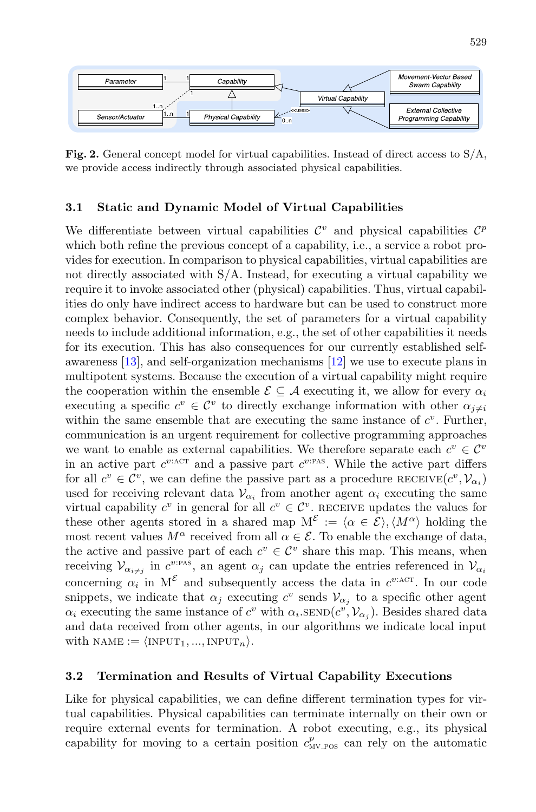

<span id="page-4-0"></span>**Fig. 2.** General concept model for virtual capabilities. Instead of direct access to S/A, we provide access indirectly through associated physical capabilities.

#### <span id="page-4-2"></span>**3.1 Static and Dynamic Model of Virtual Capabilities**

We differentiate between virtual capabilities  $\mathcal{C}^v$  and physical capabilities  $\mathcal{C}^p$ which both refine the previous concept of a capability, i.e., a service a robot provides for execution. In comparison to physical capabilities, virtual capabilities are not directly associated with  $S/A$ . Instead, for executing a virtual capability we require it to invoke associated other (physical) capabilities. Thus, virtual capabilities do only have indirect access to hardware but can be used to construct more complex behavior. Consequently, the set of parameters for a virtual capability needs to include additional information, e.g., the set of other capabilities it needs for its execution. This has also consequences for our currently established selfawareness [\[13](#page-14-7)], and self-organization mechanisms [\[12](#page-14-8)] we use to execute plans in multipotent systems. Because the execution of a virtual capability might require the cooperation within the ensemble  $\mathcal{E} \subseteq \mathcal{A}$  executing it, we allow for every  $\alpha_i$ executing a specific  $c^v \in \mathcal{C}^v$  to directly exchange information with other  $\alpha_{j\neq j}$ <br>within the same appended that are executing the same instance of  $c^v$ . Eurther within the same ensemble that are executing the same instance of  $c^v$ . Further, communication is an urgent requirement for collective programming approaches we want to enable as external capabilities. We therefore separate each  $c^v \in C^v$ in an active part  $c^{v:ACT}$  and a passive part  $c^{v:PAS}$ . While the active part differs for all  $c^v \in \mathcal{C}^v$ , we can define the passive part as a procedure  $RECEIVE(c^v, \mathcal{V}_{\alpha_i})$ used for receiving relevant data  $V_{\alpha_i}$  from another agent  $\alpha_i$  executing the same<br>witted considiute  $a^v$  in general for all  $a^v \in C^v$  property undetected the values for virtual capability  $c^v$  in general for all  $c^v \in C^v$ . RECEIVE updates the values for these other agents stored in a shared map  $M^{\mathcal{E}} := \langle \alpha \in \mathcal{E} \rangle, \langle M^{\alpha} \rangle$  holding the most recent values  $M^{\alpha}$  received from all  $\alpha \in \mathcal{E}$ . To enable the exchange of data, the active and passive part of each  $c^v \in \mathcal{C}^v$  share this map. This means, when receiving  $V_{\alpha_{i\neq j}}$  in  $c^{v:\text{PAS}}$ , an agent  $\alpha_j$  can update the entries referenced in  $V_{\alpha_i}$ concerning  $\alpha_i$  in M<sup>E</sup> and subsequently access the data in  $c^{v:ACT}$ . In our code snippets, we indicate that  $\alpha_j$  executing  $c^v$  sends  $\mathcal{V}_{\alpha_j}$  to a specific other agent  $\alpha_i$  executing the same instance of  $c^v$  with  $\alpha_i$ . SEND $(c^v, \mathcal{V}_{\alpha_j})$ . Besides shared data and data received from other agents, in our algorithms we indicate local input with NAME :=  $\langle \text{INPUT}_1, ..., \text{INPUT}_n \rangle$ .

#### <span id="page-4-1"></span>**3.2 Termination and Results of Virtual Capability Executions**

Like for physical capabilities, we can define different termination types for virtual capabilities. Physical capabilities can terminate internally on their own or require external events for termination. A robot executing, e.g., its physical capability for moving to a certain position  $c_{\text{MV-POS}}^p$  can rely on the automatic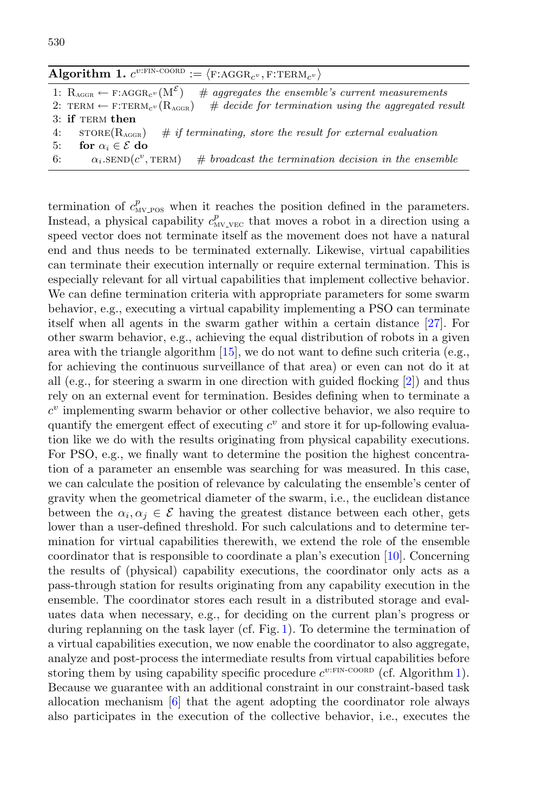| $\mathbf{Algorithm} \; \mathbf{1.} \; c^{v:\mathsf{FIN-COORD}} := \langle \textsc{F:AGGR}_{c^v}, \textsc{F:TERM}_{c^v} \rangle \; .$ |  |
|--------------------------------------------------------------------------------------------------------------------------------------|--|
|                                                                                                                                      |  |

<span id="page-5-0"></span>1:  $R_{AGGR} \leftarrow F:AGGR_{c}^{v}(M^{\mathcal{E}})$ <br>2: TERM  $\leftarrow$  F:TERM<sub>c</sub><sup>*v*</sup>( $R_{AGGR}$ ) ) # *aggregates the ensemble's current measurements*  $#$  *decide for termination using the aggregated result* 3: if TERM then 4:  $STORE(R<sub>AGGR</sub>)$  # *if terminating, store the result for external evaluation* 5: **for**  $\alpha_i \in \mathcal{E}$  **do**<br>6:  $\alpha_i$ .SEND $(c^v)$ . 6:  $\alpha_i$ .SEND $(c^v)$  $#$  *broadcast the termination decision in the ensemble* 

termination of  $c_{\text{MV-POS}}^p$  when it reaches the position defined in the parameters. Instead, a physical capability  $c_{\text{MV-VEC}}^p$  that moves a robot in a direction using a speed vector does not terminate itself as the movement does not have a natural end and thus needs to be terminated externally. Likewise, virtual capabilities can terminate their execution internally or require external termination. This is especially relevant for all virtual capabilities that implement collective behavior. We can define termination criteria with appropriate parameters for some swarm behavior, e.g., executing a virtual capability implementing a PSO can terminate itself when all agents in the swarm gather within a certain distance [\[27\]](#page-15-0). For other swarm behavior, e.g., achieving the equal distribution of robots in a given area with the triangle algorithm [\[15](#page-14-2)], we do not want to define such criteria (e.g., for achieving the continuous surveillance of that area) or even can not do it at all (e.g., for steering a swarm in one direction with guided flocking  $[2]$ ) and thus rely on an external event for termination. Besides defining when to terminate a  $c^v$  implementing swarm behavior or other collective behavior, we also require to quantify the emergent effect of executing  $c^v$  and store it for up-following evaluation like we do with the results originating from physical capability executions. For PSO, e.g., we finally want to determine the position the highest concentration of a parameter an ensemble was searching for was measured. In this case, we can calculate the position of relevance by calculating the ensemble's center of gravity when the geometrical diameter of the swarm, i.e., the euclidean distance between the  $\alpha_i, \alpha_j \in \mathcal{E}$  having the greatest distance between each other, gets<br>lower than a user defined threshold. For such eslaulations and to determine top lower than a user-defined threshold. For such calculations and to determine termination for virtual capabilities therewith, we extend the role of the ensemble coordinator that is responsible to coordinate a plan's execution [\[10\]](#page-14-10). Concerning the results of (physical) capability executions, the coordinator only acts as a pass-through station for results originating from any capability execution in the ensemble. The coordinator stores each result in a distributed storage and evaluates data when necessary, e.g., for deciding on the current plan's progress or during replanning on the task layer (cf. Fig. [1\)](#page-2-0). To determine the termination of a virtual capabilities execution, we now enable the coordinator to also aggregate, analyze and post-process the intermediate results from virtual capabilities before storing them by using capability specific procedure  $c^{v:FN\text{-coORD}}$  (cf. Algorithm [1\)](#page-5-0). Because we guarantee with an additional constraint in our constraint-based task allocation mechanism  $[6]$  that the agent adopting the coordinator role always also participates in the execution of the collective behavior, i.e., executes the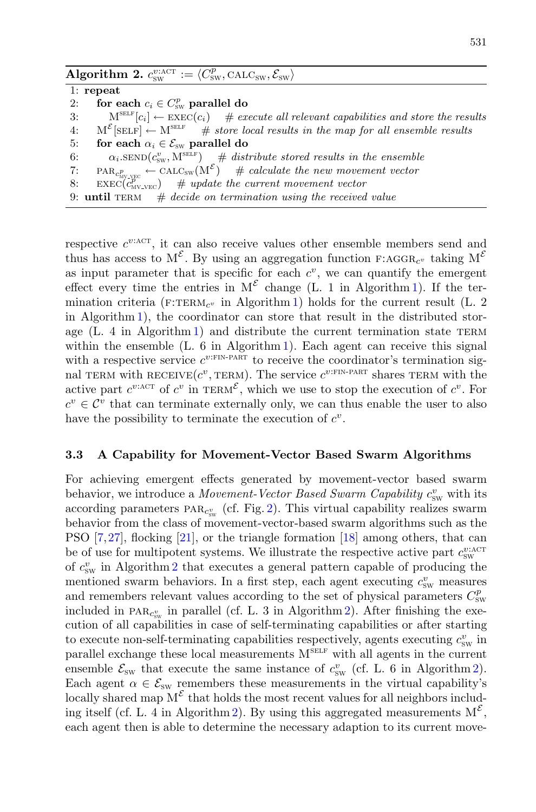**Algorithm 2.**  $c_{\text{\tiny SW}}^{\text{v:ACT}} := \langle C_{\text{\tiny SW}}^p, \text{\tiny CALC}_{\text{\tiny SW}}, \mathcal{E}_{\text{\tiny SW}} \rangle$ 1: **repeat** 2: **for each**  $c_i \in C_{\text{sw}}^p$  **parallel do** 3:  $M^{SELF}[c_i] \leftarrow EXEC(c_i)$  # *execute all relevant capabilities and store the results* 4:  $M^{\mathcal{E}}[\textsc{self}] \leftarrow M^{\textsc{self}}$ [self] <sup>←</sup> <sup>M</sup>self # *store local results in the map for all ensemble results* 5: **for each**  $\alpha_i \in \mathcal{E}_{SW}$  **parallel do**<br>6:  $\alpha_i$ .SEND $(c_{SW}^{\text{C}}, M^{\text{SELF}})$  # dist 6:  $\alpha_i$ .SEND( $c_{\text{sw}}^v$ ,  $M^{\text{SELF}}$ ) # *distribute stored results in the ensemble*  $7: \quad \text{PAR}_{c_{\text{MY-VEC}}^P} \leftarrow \text{CALC}_{\text{SW}}(M^{\mathcal{E}}) \quad # \; calculate \; the \; new \; movement \; vector$ 8:  $EXEC(c_N^p)$ mv vec) # *update the current movement vector*

<span id="page-6-0"></span>9: **until** TERM  $#$  *decide on termination using the received value* 

respective  $c^{v:ACT}$ , it can also receive values other ensemble members send and thus has access to  $M^{\mathcal{E}}$ . By using an aggregation function  $F:AGGR_{c}$ <sup>*v*</sup> taking  $M^{\mathcal{E}}$ <br>as input parameter that is specific for each  $e^{v}$ , we can quantify the emergent as input parameter that is specific for each  $c^v$ , we can quantify the emergent effect every time the entries in  $M^{\mathcal{E}}$  change (L. 1 in Algorithm [1\)](#page-5-0). If the ter-mination criteria (F:TERM<sub>c</sub><sup>v</sup> in Algorithm [1\)](#page-5-0) holds for the current result (L. 2<br>in Algorithm 1), the coordinator can stare that result in the distributed star in Algorithm [1\)](#page-5-0), the coordinator can store that result in the distributed storage  $(L. 4$  in Algorithm [1\)](#page-5-0) and distribute the current termination state TERM within the ensemble  $(L. 6$  in Algorithm [1\)](#page-5-0). Each agent can receive this signal with a respective service  $c^{v:\text{FIN-PART}}$  to receive the coordinator's termination signal TERM with RECEIVE $(c^v, \text{TERM})$ . The service  $c^{v:\text{FIN-PART}}$  shares TERM with the active part  $c^{v \text{.ACT}}$  of  $c^v$  in TERM<sup> $\varepsilon$ </sup>, which we use to stop the execution of  $c^v$ . For  $c^v \in \mathcal{C}^v$  that can terminate externally only, we can thus enable the user to also have the possibility to terminate the execution of  $c^v$ .

### <span id="page-6-1"></span>**3.3 A Capability for Movement-Vector Based Swarm Algorithms**

For achieving emergent effects generated by movement-vector based swarm behavior, we introduce a *Movement-Vector Based Swarm Capability*  $c_{\text{sw}}^v$  with its  $\alpha$  according parameters  $PAR_{c_{sw}^w}$  (cf. Fig. [2\)](#page-4-0). This virtual capability realizes swarm behavior from the class of movement-vector-based swarm algorithms such as the PSO [\[7,](#page-14-12)[27\]](#page-15-0), flocking [\[21](#page-15-1)], or the triangle formation [\[18](#page-15-6)] among others, that can be of use for multipotent systems. We illustrate the respective active part  $c_{\rm sw}^{\rm v. acr}$ of  $c_{\text{sw}}^v$  in Algorithm [2](#page-6-0) that executes a general pattern capable of producing the mentioned swarm behaviors. In a first step, each agent executing  $c_{\text{sw}}^v$  measures and remembers relevant values according to the set of physical parameters  $C_{\text{sw}}^p$ included in  $PAR_{c_{sw}^{v}}$  in parallel (cf. L. 3 in Algorithm [2\)](#page-6-0). After finishing the exe-<br>cutting of all considition in each of call terminating expektition on often starting cution of all capabilities in case of self-terminating capabilities or after starting to execute non-self-terminating capabilities respectively, agents executing  $c_{\text{sw}}^{v}$  in parallel exchange these local measurements  $M<sup>SELF</sup>$  with all agents in the current ensemble  $\mathcal{E}_{sw}$  that execute the same instance of  $c_{sw}^v$  (cf. L. 6 in Algorithm [2\)](#page-6-0). Each agent  $\alpha \in \mathcal{E}_{sw}$  remembers these measurements in the virtual capability's locally shared map  $M^{\mathcal{E}}$  that holds the most recent values for all neighbors includ-ing itself (cf. L. 4 in Algorithm [2\)](#page-6-0). By using this aggregated measurements  $M^{\mathcal{E}}$ , each agent then is able to determine the necessary adaption to its current move-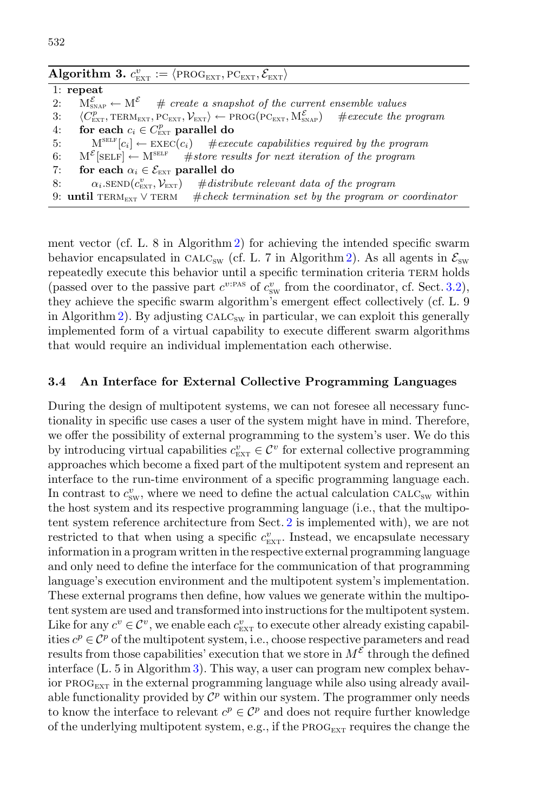| Algorithm 3. $c_{\text{EXT}}^v := \langle \text{PROG}_{\text{EXT}}, \text{PC}_{\text{EXT}}, \mathcal{E}_{\text{EXT}} \rangle$ |                                                                                                                                                                                                                          |  |
|-------------------------------------------------------------------------------------------------------------------------------|--------------------------------------------------------------------------------------------------------------------------------------------------------------------------------------------------------------------------|--|
|                                                                                                                               | 1: repeat                                                                                                                                                                                                                |  |
| 2:                                                                                                                            | $M_{\text{swap}}^{\mathcal{E}} \leftarrow M^{\mathcal{E}}$ # create a snapshot of the current ensemble values                                                                                                            |  |
| 3:                                                                                                                            | $\langle C_{\text{EXT}}^p, \text{TERM}_{\text{EXT}}, \text{PC}_{\text{EXT}}, \mathcal{V}_{\text{EXT}} \rangle \leftarrow \text{PROG}(\text{PC}_{\text{EXT}}, \text{M}_{\text{SMAP}}^{\mathcal{E}})$ #execute the program |  |
| 4:                                                                                                                            | for each $c_i \in C^p_{\text{EXT}}$ parallel do                                                                                                                                                                          |  |
| 5:                                                                                                                            | $M^{\text{SELF}}[c_i] \leftarrow \text{EXEC}(c_i)$ #execute capabilities required by the program                                                                                                                         |  |
| 6:                                                                                                                            | $M^{\mathcal{E}}[\text{SELF}] \leftarrow M^{\text{SELF}}$ #store results for next iteration of the program                                                                                                               |  |
| 7:                                                                                                                            | for each $\alpha_i \in \mathcal{E}_{\text{EXT}}$ parallel do                                                                                                                                                             |  |
| 8:                                                                                                                            | $\alpha_i$ .SEND $(c_{\text{ext}}^v, \mathcal{V}_{\text{ext}})$ #distribute relevant data of the program                                                                                                                 |  |
|                                                                                                                               | $\# check\ termination\ set\ by\ the\ program\ or\ coordinate$<br>9: until TERM <sub>EXT</sub> $\vee$ TERM                                                                                                               |  |

ment vector (cf. L. 8 in Algorithm [2\)](#page-6-0) for achieving the intended specific swarm behavior encapsulated in CALC<sub>sw</sub> (cf. L. 7 in Algorithm [2\)](#page-6-0). As all agents in  $\mathcal{E}_{sw}$ repeatedly execute this behavior until a specific termination criteria term holds (passed over to the passive part  $c^{v:pas}$  of  $c_{sw}^v$  from the coordinator, cf. Sect. [3.2\)](#page-4-1), they achieve the specific swarm algorithm's emergent effect collectively (cf. L. 9 in Algorithm [2\)](#page-6-0). By adjusting  $CALC<sub>sw</sub>$  in particular, we can exploit this generally implemented form of a virtual capability to execute different swarm algorithms that would require an individual implementation each otherwise.

#### <span id="page-7-0"></span>**3.4 An Interface for External Collective Programming Languages**

During the design of multipotent systems, we can not foresee all necessary functionality in specific use cases a user of the system might have in mind. Therefore, we offer the possibility of external programming to the system's user. We do this by introducing virtual capabilities  $c_{\text{EXT}}^v \in \mathcal{C}^v$  for external collective programming approaches which become a fixed part of the multipotent system and represent an interface to the run-time environment of a specific programming language each. In contrast to  $c_{\rm sw}^v$ , where we need to define the actual calculation CALC<sub>sw</sub> within the host system and its respective programming language (i.e., that the multipotent system reference architecture from Sect. [2](#page-1-0) is implemented with), we are not restricted to that when using a specific  $c_{\text{EXT}}^v$ . Instead, we encapsulate necessary information in a program written in the respective external programming language and only need to define the interface for the communication of that programming language's execution environment and the multipotent system's implementation. These external programs then define, how values we generate within the multipotent system are used and transformed into instructions for the multipotent system. Like for any  $c^v \in \mathcal{C}^v$ , we enable each  $c^v_{\text{EXT}}$  to execute other already existing capabilities  $c^p \in \mathcal{C}^p$  of the multipotent system, i.e., choose respective parameters and read results from those capabilities' execution that we store in  $M^{\mathcal{E}}$  through the defined interface (L. 5 in Algorithm [3\)](#page-6-0). This way, a user can program new complex behavior  $\text{PROG}_{\text{EXT}}$  in the external programming language while also using already available functionality provided by  $\mathcal{C}^p$  within our system. The programmer only needs to know the interface to relevant  $c^p \in \mathcal{C}^p$  and does not require further knowledge of the underlying multipotent system, e.g., if the  $PROG<sub>EXT</sub>$  requires the change the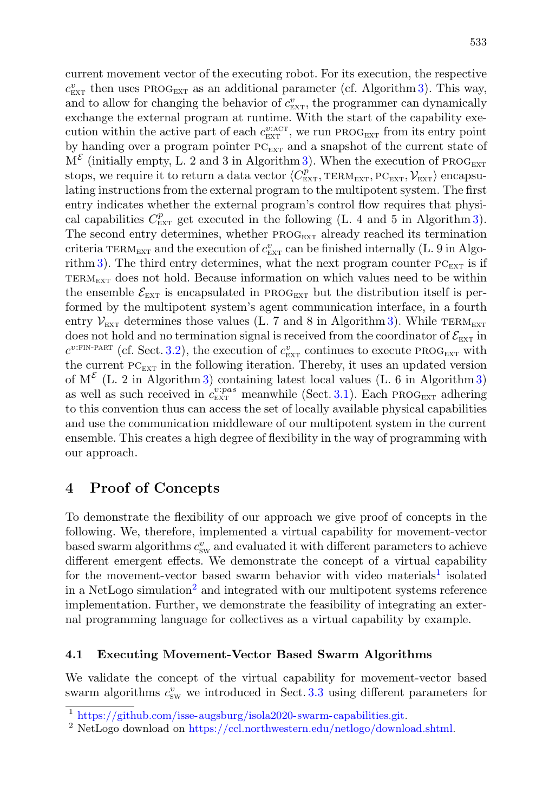current movement vector of the executing robot. For its execution, the respective  $c_{\text{EXT}}^v$  then uses PROG<sub>EXT</sub> as an additional parameter (cf. Algorithm [3\)](#page-6-0). This way, and to allow for changing the behavior of  $c^v_{\text{EXT}}$ , the programmer can dynamically exchange the external program at runtime. With the start of the capability execution within the active part of each  $c_{\text{EXT}}^{\text{v:ACT}}$ , we run PROG<sub>EXT</sub> from its entry point by handing over a program pointer  $PC_{EXT}$  and a snapshot of the current state of  $M^{\mathcal{E}}$  (initially empty, L. 2 and 3 in Algorithm [3\)](#page-6-0). When the execution of PROG<sub>EXT</sub> stops, we require it to return a data vector  $\langle C_{\text{EXT}}^p, \text{TERM}_{\text{EXT}}, \text{PC}_{\text{EXT}}, \mathcal{V}_{\text{EXT}} \rangle$  encapsulating instructions from the external program to the multipotent system. The first entry indicates whether the external program's control flow requires that physical capabilities  $C_{\text{EXT}}^p$  get executed in the following (L. 4 and 5 in Algorithm [3\)](#page-6-0). The second entry determines, whether  $PROG<sub>EXT</sub>$  already reached its termination criteria  $\text{TERM}_\text{EXT}$  and the execution of  $c^v_\text{EXT}$  can be finished internally (L. 9 in Algo-rithm [3\)](#page-6-0). The third entry determines, what the next program counter  $PC_{\text{EXT}}$  is if  $TERM<sub>EXT</sub>$  does not hold. Because information on which values need to be within the ensemble  $\mathcal{E}_{\text{EXT}}$  is encapsulated in PROG<sub>EXT</sub> but the distribution itself is performed by the multipotent system's agent communication interface, in a fourth entry  $\mathcal{V}_{\text{EXT}}$  determines those values (L. 7 and 8 in Algorithm [3\)](#page-6-0). While TERM<sub>EXT</sub> does not hold and no termination signal is received from the coordinator of  $\mathcal{E}_\text{EXT}$  in  $c^{v:FIN-PART}$  (cf. Sect. [3.2\)](#page-4-1), the execution of  $c^v_{\text{EXT}}$  continues to execute PROG<sub>EXT</sub> with the current  $PC_{EXT}$  in the following iteration. Thereby, it uses an updated version of  $M^{\mathcal{E}}$  (L. 2 in Algorithm [3\)](#page-6-0) containing latest local values (L. 6 in Algorithm 3) as well as such received in  $c_{\text{EXT}}^{v:pas}$  meanwhile (Sect. [3.1\)](#page-4-2). Each PROG<sub>EXT</sub> adhering to this convention thus can access the set of locally available physical capabilities and use the communication middleware of our multipotent system in the current ensemble. This creates a high degree of flexibility in the way of programming with our approach.

# <span id="page-8-0"></span>**4 Proof of Concepts**

To demonstrate the flexibility of our approach we give proof of concepts in the following. We, therefore, implemented a virtual capability for movement-vector based swarm algorithms  $c_{\text{sw}}^v$  and evaluated it with different parameters to achieve different emergent effects. We demonstrate the concept of a virtual capability for the movement-vector based swarm behavior with video materials<sup>[1](#page-8-1)</sup> isolated in a NetLogo simulation [2](#page-8-2) and integrated with our multipotent systems reference implementation. Further, we demonstrate the feasibility of integrating an external programming language for collectives as a virtual capability by example.

### **4.1 Executing Movement-Vector Based Swarm Algorithms**

We validate the concept of the virtual capability for movement-vector based swarm algorithms  $c_{\text{sw}}^v$  we introduced in Sect. [3.3](#page-6-1) using different parameters for

<span id="page-8-1"></span> $1$  [https://github.com/isse-augsburg/isola2020-swarm-capabilities.git.](https://github.com/isse-augsburg/isola2020-swarm-capabilities.git)

<span id="page-8-2"></span><sup>&</sup>lt;sup>2</sup> NetLogo download on [https://ccl.northwestern.edu/netlogo/download.shtml.](https://ccl.northwestern.edu/netlogo/download.shtml)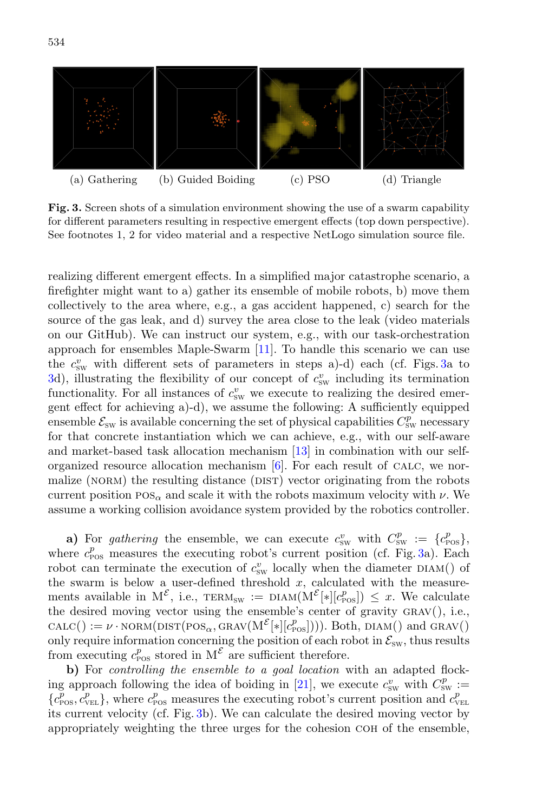

<span id="page-9-0"></span>**Fig. 3.** Screen shots of a simulation environment showing the use of a swarm capability for different parameters resulting in respective emergent effects (top down perspective). See footnotes 1, 2 for video material and a respective NetLogo simulation source file.

realizing different emergent effects. In a simplified major catastrophe scenario, a firefighter might want to a) gather its ensemble of mobile robots, b) move them collectively to the area where, e.g., a gas accident happened, c) search for the source of the gas leak, and d) survey the area close to the leak (video materials on our GitHub). We can instruct our system, e.g., with our task-orchestration approach for ensembles Maple-Swarm [\[11\]](#page-14-13). To handle this scenario we can use the  $c_{\text{sw}}^v$  with different sets of parameters in steps a)-d) each (cf. Figs. [3a](#page-9-0) to [3d](#page-9-0)), illustrating the flexibility of our concept of  $c_{\rm sw}^v$  including its termination functionality. For all instances of  $c_{\text{sw}}^v$  we execute to realizing the desired emergent effect for achieving a)-d), we assume the following: A sufficiently equipped ensemble  $\mathcal{E}_{sw}$  is available concerning the set of physical capabilities  $C_{sw}^p$  necessary for that concrete instantiation which we can achieve, e.g., with our self-aware and market-based task allocation mechanism [\[13](#page-14-7)] in combination with our selforganized resource allocation mechanism  $[6]$  $[6]$ . For each result of CALC, we normalize ( $NORM$ ) the resulting distance ( $DIST$ ) vector originating from the robots current position  $POS_{\alpha}$  and scale it with the robots maximum velocity with  $\nu$ . We assume a working collision avoidance system provided by the robotics controller.

**a)** For *gathering* the ensemble, we can execute  $c_{sw}^v$  with  $C_{sw}^p := \{c_{pos}^p\},\$ where  $c_{\text{pos}}^p$  measures the executing robot's current position (cf. Fig. [3a](#page-9-0)). Each robot can terminate the execution of  $c_{\text{sw}}^v$  locally when the diameter DIAM() of the swarm is below a user-defined threshold x, calculated with the measurements available in  $M^{\mathcal{E}}$ , i.e.,  $TERM_{SW} := DIAM(M^{\mathcal{E}}[*][c_{POS}^p]) \leq x$ . We calculate the desired moving vector using the ensemble's center of gravity  $GRAV()$ , i.e., CALC()  $:= \nu \cdot \text{NORM}(\text{DIST}(POS_{\alpha}, \text{GRAV}(M^{\mathcal{E}}[\ast][c_{\text{POS}}^p]))$ . Both, DIAM() and GRAV() only require information concerning the position of each robot in  $\mathcal{E}_{sw}$ , thus results from executing  $c_{\text{pos}}^p$  stored in  $M^{\mathcal{E}}$  are sufficient therefore.

**b)** For *controlling the ensemble to a goal location* with an adapted flock-ing approach following the idea of boiding in [\[21\]](#page-15-1), we execute  $c_{\text{sw}}^v$  with  $C_{\text{sw}}^p :=$  ${c<sub>Pos</sub>^p, c<sub>VEL</sub>^p}$ , where  $c<sub>Pos</sub>^p$  measures the executing robot's current position and  $c<sub>VEL</sub>^p$ its current velocity (cf. Fig. [3b](#page-9-0)). We can calculate the desired moving vector by appropriately weighting the three urges for the cohesion coh of the ensemble,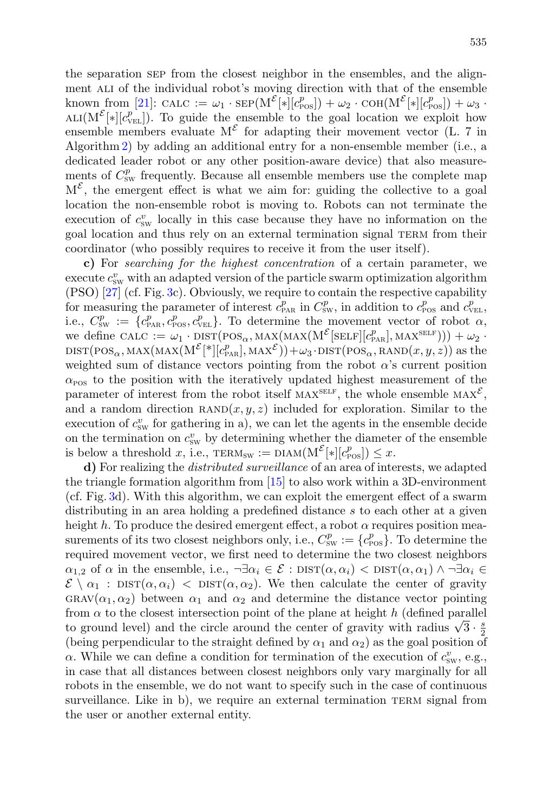the separation sep from the closest neighbor in the ensembles, and the alignment ali of the individual robot's moving direction with that of the ensemble known from [\[21\]](#page-15-1): CALC :=  $\omega_1 \cdot \text{SEP}(M^{\mathcal{E}}[\ast][c_{\text{POS}}^p]) + \omega_2 \cdot \text{COH}(M^{\mathcal{E}}[\ast][c_{\text{POS}}^p]) + \omega_3$ .  $\text{ALI}(M^{\mathcal{E}}[\ast][c_{\text{VEL}}^p])$ . To guide the ensemble to the goal location we exploit how ensemble members evaluate  $M^{\mathcal{E}}$  for adapting their movement vector (L. 7 in Algorithm [2\)](#page-6-0) by adding an additional entry for a non-ensemble member (i.e., a dedicated leader robot or any other position-aware device) that also measurements of  $C_{\text{sw}}^p$  frequently. Because all ensemble members use the complete map  $M^{\mathcal{E}}$ , the emergent effect is what we aim for: guiding the collective to a goal location the non-ensemble robot is moving to. Robots can not terminate the execution of  $c_{\text{sw}}^v$  locally in this case because they have no information on the goal location and thus rely on an external termination signal term from their coordinator (who possibly requires to receive it from the user itself).

**c)** For *searching for the highest concentration* of a certain parameter, we execute  $c^v_{\rm sw}$  with an adapted version of the particle swarm optimization algorithm (PSO) [\[27\]](#page-15-0) (cf. Fig. [3c](#page-9-0)). Obviously, we require to contain the respective capability for measuring the parameter of interest  $c_{\text{PAR}}^p$  in  $C_{\text{SW}}^p$ , in addition to  $c_{\text{POS}}^p$  and  $c_{\text{VEL}}^p$ , i.e.,  $C_{\text{sw}}^p := \{c_{\text{PAR}}^p, c_{\text{POS}}^p, c_{\text{VEL}}^p\}$ . To determine the movement vector of robot  $\alpha$ , we define  $\text{CALC} := \omega_1 \cdot \text{DIST}(\text{POS}_{\alpha}, \text{MAX}(\text{MAX}(\mathcal{N}^{\mathcal{E}}[\text{SELF}][c_{\text{PAR}}^p], \text{MAX}(\text{MAX}(\text{MAX}(\text{MAX}(\text{MAX}^{\mathcal{E}}[\text{NELF}[(c_{\text{PAR}}^p], \text{MAX}(\text{MAX}(\text{MAX}(\text{MAX}^{\mathcal{E}}[\text{MAX})))]) + \omega_2$ DIST(POS<sub> $\alpha$ </sub>, MAX(MAX(M<sup>E</sup>[\*][c<sub>PAR</sub>], MAX<sup>E</sup>))+ω<sub>3</sub> · DIST(POS<sub> $\alpha$ </sub>, RAND(x, y, z)) as the weighted sum of distance vectors pointing from the robot  $\alpha$ 's current position  $\alpha_{\text{pos}}$  to the position with the iteratively updated highest measurement of the parameter of interest from the robot itself MAX<sup>SELF</sup>, the whole ensemble  $\text{MAX}^{\mathcal{E}}$ , and a random direction  $\text{RAND}(x, y, z)$  included for exploration. Similar to the execution of  $c_{\text{sw}}^v$  for gathering in a), we can let the agents in the ensemble decide on the termination on  $c_{\text{sw}}^v$  by determining whether the diameter of the ensemble is below a threshold x, i.e.,  $\text{TERM}_{SW} := \text{DIAM}(M^{\mathcal{E}}[k][c_{\text{POS}}^p]) \leq x.$ 

**d)** For realizing the *distributed surveillance* of an area of interests, we adapted the triangle formation algorithm from [\[15](#page-14-2)] to also work within a 3D-environment (cf. Fig. [3d](#page-9-0)). With this algorithm, we can exploit the emergent effect of a swarm distributing in an area holding a predefined distance s to each other at a given height h. To produce the desired emergent effect, a robot  $\alpha$  requires position measurements of its two closest neighbors only, i.e.,  $C_{\text{sw}}^p := \{c_{\text{pos}}^p\}$ . To determine the required movement vector, we first need to determine the two closest neighbors  $\alpha_{1,2}$  of  $\alpha$  in the ensemble, i.e.,  $\neg \exists \alpha_i \in \mathcal{E} : \text{DIST}(\alpha, \alpha_i) < \text{DIST}(\alpha, \alpha_1) \land \neg \exists \alpha_i \in \mathcal{E}$  $\mathcal{E} \setminus \alpha_1$ : DIST $(\alpha, \alpha_i)$  < DIST $(\alpha, \alpha_2)$ . We then calculate the center of gravity  $GRAV(\alpha_1, \alpha_2)$  between  $\alpha_1$  and  $\alpha_2$  and determine the distance vector pointing from  $\alpha$  to the closest intersection point of the plane at height h (defined parallel to ground level) and the circle around the center of gravity with radius  $\sqrt{3} \cdot \frac{3}{2}$ (being perpendicular to the straight defined by  $\alpha_1$  and  $\alpha_2$ ) as the goal position of  $\alpha$ . While we can define a condition for termination of the execution of  $c_{\rm sw}^v$ , e.g., in case that all distances between closest neighbors only vary marginally for all robots in the ensemble, we do not want to specify such in the case of continuous surveillance. Like in b), we require an external termination TERM signal from the user or another external entity.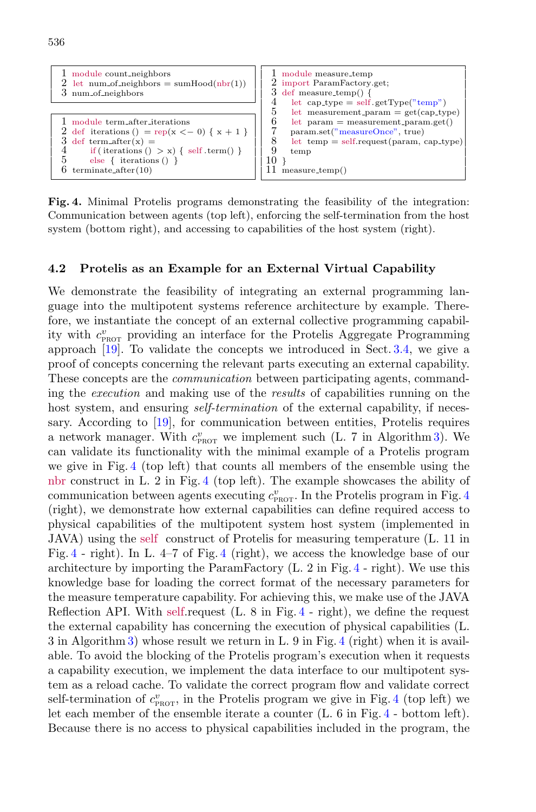

<span id="page-11-0"></span>**Fig. 4.** Minimal Protelis programs demonstrating the feasibility of the integration: Communication between agents (top left), enforcing the self-termination from the host system (bottom right), and accessing to capabilities of the host system (right).

#### **4.2 Protelis as an Example for an External Virtual Capability**

We demonstrate the feasibility of integrating an external programming language into the multipotent systems reference architecture by example. Therefore, we instantiate the concept of an external collective programming capability with  $c_{\text{PROT}}^v$  providing an interface for the Protelis Aggregate Programming approach [\[19](#page-15-3)]. To validate the concepts we introduced in Sect. [3.4,](#page-7-0) we give a proof of concepts concerning the relevant parts executing an external capability. These concepts are the *communication* between participating agents, commanding the *execution* and making use of the *results* of capabilities running on the host system, and ensuring *self-termination* of the external capability, if necessary. According to [\[19](#page-15-3)], for communication between entities, Protelis requires a network manager. With  $c_{\text{PROT}}^v$  we implement such (L. 7 in Algorithm [3\)](#page-6-0). We can validate its functionality with the minimal example of a Protelis program we give in Fig. [4](#page-11-0) (top left) that counts all members of the ensemble using the nbr construct in L. 2 in Fig. [4](#page-11-0) (top left). The example showcases the ability of communication between agents executing  $c_{\text{PROT}}^v$ . In the Protelis program in Fig. [4](#page-11-0) (right), we demonstrate how external capabilities can define required access to physical capabilities of the multipotent system host system (implemented in JAVA) using the self construct of Protelis for measuring temperature (L. 11 in Fig. [4](#page-11-0) - right). In L. 4–7 of Fig. [4](#page-11-0) (right), we access the knowledge base of our architecture by importing the ParamFactory (L. 2 in Fig. [4](#page-11-0) - right). We use this knowledge base for loading the correct format of the necessary parameters for the measure temperature capability. For achieving this, we make use of the JAVA Reflection API. With self.request (L. 8 in Fig. [4](#page-11-0) - right), we define the request the external capability has concerning the execution of physical capabilities (L. 3 in Algorithm [3\)](#page-6-0) whose result we return in L. 9 in Fig. [4](#page-11-0) (right) when it is available. To avoid the blocking of the Protelis program's execution when it requests a capability execution, we implement the data interface to our multipotent system as a reload cache. To validate the correct program flow and validate correct self-termination of  $c_{\text{PROT}}^v$ , in the Protelis program we give in Fig. [4](#page-11-0) (top left) we let each member of the ensemble iterate a counter (L. 6 in Fig. [4](#page-11-0) - bottom left). Because there is no access to physical capabilities included in the program, the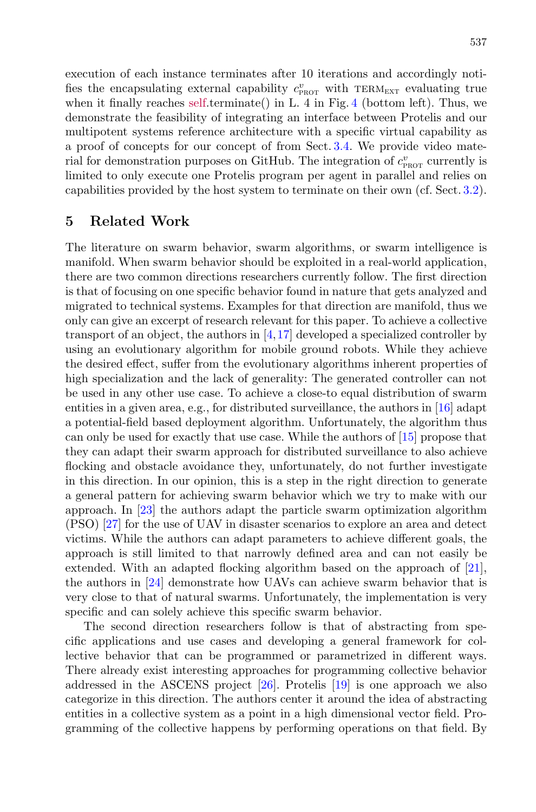execution of each instance terminates after 10 iterations and accordingly notifies the encapsulating external capability  $c_{\text{PROT}}^v$  with TERM<sub>EXT</sub> evaluating true when it finally reaches self.terminate() in L. [4](#page-11-0) in Fig. 4 (bottom left). Thus, we demonstrate the feasibility of integrating an interface between Protelis and our multipotent systems reference architecture with a specific virtual capability as a proof of concepts for our concept of from Sect. [3.4.](#page-7-0) We provide video material for demonstration purposes on GitHub. The integration of  $c^v_{\text{PROT}}$  currently is limited to only execute one Protelis program per agent in parallel and relies on capabilities provided by the host system to terminate on their own (cf. Sect. [3.2\)](#page-4-1).

### <span id="page-12-0"></span>**5 Related Work**

The literature on swarm behavior, swarm algorithms, or swarm intelligence is manifold. When swarm behavior should be exploited in a real-world application, there are two common directions researchers currently follow. The first direction is that of focusing on one specific behavior found in nature that gets analyzed and migrated to technical systems. Examples for that direction are manifold, thus we only can give an excerpt of research relevant for this paper. To achieve a collective transport of an object, the authors in [\[4](#page-14-14)[,17](#page-14-15)] developed a specialized controller by using an evolutionary algorithm for mobile ground robots. While they achieve the desired effect, suffer from the evolutionary algorithms inherent properties of high specialization and the lack of generality: The generated controller can not be used in any other use case. To achieve a close-to equal distribution of swarm entities in a given area, e.g., for distributed surveillance, the authors in [\[16](#page-14-3)] adapt a potential-field based deployment algorithm. Unfortunately, the algorithm thus can only be used for exactly that use case. While the authors of [\[15\]](#page-14-2) propose that they can adapt their swarm approach for distributed surveillance to also achieve flocking and obstacle avoidance they, unfortunately, do not further investigate in this direction. In our opinion, this is a step in the right direction to generate a general pattern for achieving swarm behavior which we try to make with our approach. In [\[23\]](#page-15-7) the authors adapt the particle swarm optimization algorithm (PSO) [\[27\]](#page-15-0) for the use of UAV in disaster scenarios to explore an area and detect victims. While the authors can adapt parameters to achieve different goals, the approach is still limited to that narrowly defined area and can not easily be extended. With an adapted flocking algorithm based on the approach of [\[21\]](#page-15-1), the authors in [\[24\]](#page-15-8) demonstrate how UAVs can achieve swarm behavior that is very close to that of natural swarms. Unfortunately, the implementation is very specific and can solely achieve this specific swarm behavior.

The second direction researchers follow is that of abstracting from specific applications and use cases and developing a general framework for collective behavior that can be programmed or parametrized in different ways. There already exist interesting approaches for programming collective behavior addressed in the ASCENS project [\[26](#page-15-9)]. Protelis [\[19\]](#page-15-3) is one approach we also categorize in this direction. The authors center it around the idea of abstracting entities in a collective system as a point in a high dimensional vector field. Programming of the collective happens by performing operations on that field. By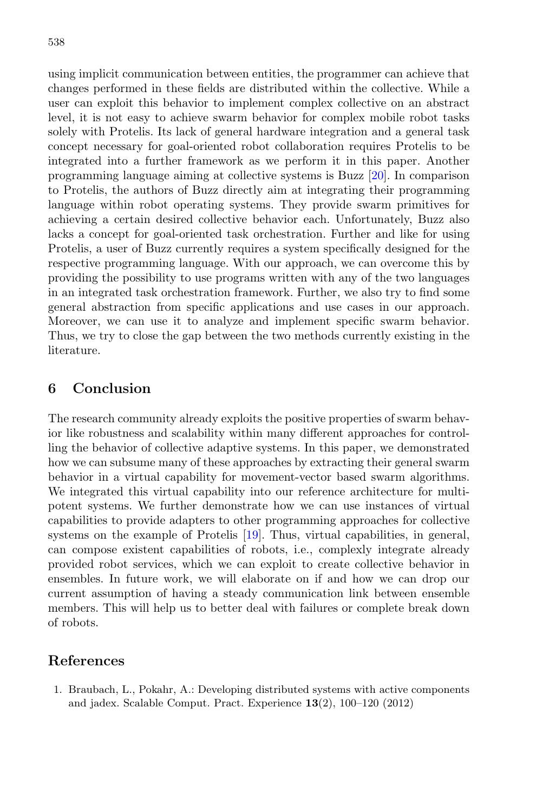using implicit communication between entities, the programmer can achieve that changes performed in these fields are distributed within the collective. While a user can exploit this behavior to implement complex collective on an abstract level, it is not easy to achieve swarm behavior for complex mobile robot tasks solely with Protelis. Its lack of general hardware integration and a general task concept necessary for goal-oriented robot collaboration requires Protelis to be integrated into a further framework as we perform it in this paper. Another programming language aiming at collective systems is Buzz [\[20\]](#page-15-5). In comparison to Protelis, the authors of Buzz directly aim at integrating their programming language within robot operating systems. They provide swarm primitives for achieving a certain desired collective behavior each. Unfortunately, Buzz also lacks a concept for goal-oriented task orchestration. Further and like for using Protelis, a user of Buzz currently requires a system specifically designed for the respective programming language. With our approach, we can overcome this by providing the possibility to use programs written with any of the two languages in an integrated task orchestration framework. Further, we also try to find some general abstraction from specific applications and use cases in our approach. Moreover, we can use it to analyze and implement specific swarm behavior. Thus, we try to close the gap between the two methods currently existing in the literature.

# <span id="page-13-0"></span>**6 Conclusion**

The research community already exploits the positive properties of swarm behavior like robustness and scalability within many different approaches for controlling the behavior of collective adaptive systems. In this paper, we demonstrated how we can subsume many of these approaches by extracting their general swarm behavior in a virtual capability for movement-vector based swarm algorithms. We integrated this virtual capability into our reference architecture for multipotent systems. We further demonstrate how we can use instances of virtual capabilities to provide adapters to other programming approaches for collective systems on the example of Protelis [\[19\]](#page-15-3). Thus, virtual capabilities, in general, can compose existent capabilities of robots, i.e., complexly integrate already provided robot services, which we can exploit to create collective behavior in ensembles. In future work, we will elaborate on if and how we can drop our current assumption of having a steady communication link between ensemble members. This will help us to better deal with failures or complete break down of robots.

# **References**

<span id="page-13-1"></span>1. Braubach, L., Pokahr, A.: Developing distributed systems with active components and jadex. Scalable Comput. Pract. Experience **13**(2), 100–120 (2012)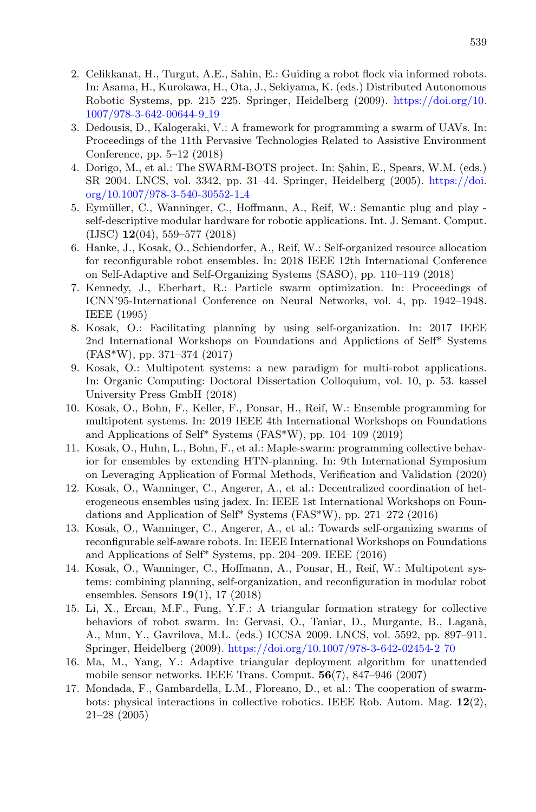- <span id="page-14-9"></span>2. Celikkanat, H., Turgut, A.E., Sahin, E.: Guiding a robot flock via informed robots. In: Asama, H., Kurokawa, H., Ota, J., Sekiyama, K. (eds.) Distributed Autonomous Robotic Systems, pp. 215–225. Springer, Heidelberg (2009). [https://doi.org/10.](https://doi.org/10.1007/978-3-642-00644-9_19) [1007/978-3-642-00644-9](https://doi.org/10.1007/978-3-642-00644-9_19) 19
- <span id="page-14-0"></span>3. Dedousis, D., Kalogeraki, V.: A framework for programming a swarm of UAVs. In: Proceedings of the 11th Pervasive Technologies Related to Assistive Environment Conference, pp. 5–12 (2018)
- <span id="page-14-14"></span>4. Dorigo, M., et al.: The SWARM-BOTS project. In: Sahin, E., Spears, W.M. (eds.) SR 2004. LNCS, vol. 3342, pp. 31–44. Springer, Heidelberg (2005). [https://doi.](https://doi.org/10.1007/978-3-540-30552-1_4) [org/10.1007/978-3-540-30552-1](https://doi.org/10.1007/978-3-540-30552-1_4) 4
- <span id="page-14-6"></span>5. Eymüller, C., Wanninger, C., Hoffmann, A., Reif, W.: Semantic plug and play self-descriptive modular hardware for robotic applications. Int. J. Semant. Comput. (IJSC) **12**(04), 559–577 (2018)
- <span id="page-14-11"></span>6. Hanke, J., Kosak, O., Schiendorfer, A., Reif, W.: Self-organized resource allocation for reconfigurable robot ensembles. In: 2018 IEEE 12th International Conference on Self-Adaptive and Self-Organizing Systems (SASO), pp. 110–119 (2018)
- <span id="page-14-12"></span>7. Kennedy, J., Eberhart, R.: Particle swarm optimization. In: Proceedings of ICNN'95-International Conference on Neural Networks, vol. 4, pp. 1942–1948. IEEE (1995)
- <span id="page-14-1"></span>8. Kosak, O.: Facilitating planning by using self-organization. In: 2017 IEEE 2nd International Workshops on Foundations and Applictions of Self\* Systems (FAS\*W), pp. 371–374 (2017)
- <span id="page-14-4"></span>9. Kosak, O.: Multipotent systems: a new paradigm for multi-robot applications. In: Organic Computing: Doctoral Dissertation Colloquium, vol. 10, p. 53. kassel University Press GmbH (2018)
- <span id="page-14-10"></span>10. Kosak, O., Bohn, F., Keller, F., Ponsar, H., Reif, W.: Ensemble programming for multipotent systems. In: 2019 IEEE 4th International Workshops on Foundations and Applications of Self\* Systems (FAS\*W), pp. 104–109 (2019)
- <span id="page-14-13"></span>11. Kosak, O., Huhn, L., Bohn, F., et al.: Maple-swarm: programming collective behavior for ensembles by extending HTN-planning. In: 9th International Symposium on Leveraging Application of Formal Methods, Verification and Validation (2020)
- <span id="page-14-8"></span>12. Kosak, O., Wanninger, C., Angerer, A., et al.: Decentralized coordination of heterogeneous ensembles using jadex. In: IEEE 1st International Workshops on Foundations and Application of Self\* Systems (FAS\*W), pp. 271–272 (2016)
- <span id="page-14-7"></span>13. Kosak, O., Wanninger, C., Angerer, A., et al.: Towards self-organizing swarms of reconfigurable self-aware robots. In: IEEE International Workshops on Foundations and Applications of Self\* Systems, pp. 204–209. IEEE (2016)
- <span id="page-14-5"></span>14. Kosak, O., Wanninger, C., Hoffmann, A., Ponsar, H., Reif, W.: Multipotent systems: combining planning, self-organization, and reconfiguration in modular robot ensembles. Sensors **19**(1), 17 (2018)
- <span id="page-14-2"></span>15. Li, X., Ercan, M.F., Fung, Y.F.: A triangular formation strategy for collective behaviors of robot swarm. In: Gervasi, O., Taniar, D., Murgante, B., Lagan`a, A., Mun, Y., Gavrilova, M.L. (eds.) ICCSA 2009. LNCS, vol. 5592, pp. 897–911. Springer, Heidelberg (2009). [https://doi.org/10.1007/978-3-642-02454-2](https://doi.org/10.1007/978-3-642-02454-2_70) 70
- <span id="page-14-3"></span>16. Ma, M., Yang, Y.: Adaptive triangular deployment algorithm for unattended mobile sensor networks. IEEE Trans. Comput. **56**(7), 847–946 (2007)
- <span id="page-14-15"></span>17. Mondada, F., Gambardella, L.M., Floreano, D., et al.: The cooperation of swarmbots: physical interactions in collective robotics. IEEE Rob. Autom. Mag. **12**(2), 21–28 (2005)